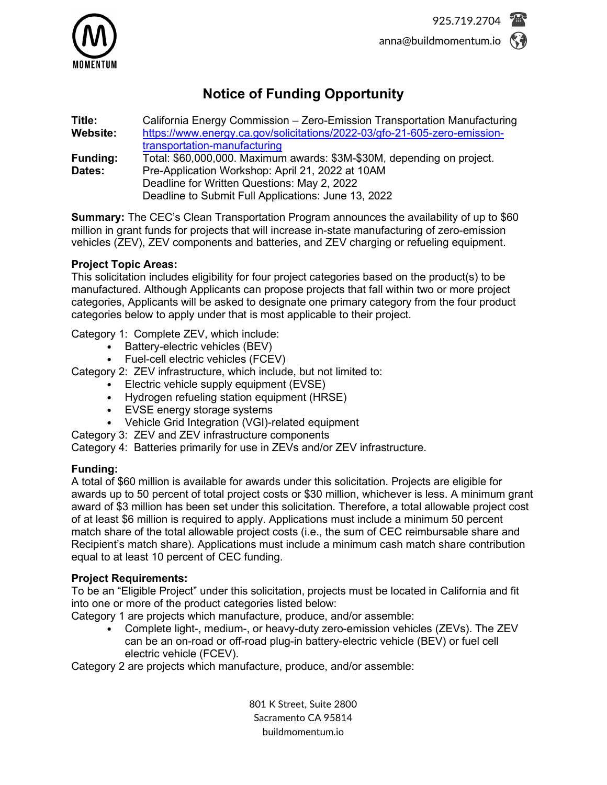

# **Notice of Funding Opportunity**

**Title:** California Energy Commission – Zero-Emission Transportation Manufacturing [https://www.energy.ca.gov/solicitations/2022-03/gfo-21-605-zero-emission](https://www.energy.ca.gov/solicitations/2022-03/gfo-21-605-zero-emission-transportation-manufacturing)[transportation-manufacturing](https://www.energy.ca.gov/solicitations/2022-03/gfo-21-605-zero-emission-transportation-manufacturing) **Funding:** Total: \$60,000,000. Maximum awards: \$3M-\$30M, depending on project. **Dates:** Pre-Application Workshop: April 21, 2022 at 10AM Deadline for Written Questions: May 2, 2022 Deadline to Submit Full Applications: June 13, 2022

**Summary:** The CEC's Clean Transportation Program announces the availability of up to \$60 million in grant funds for projects that will increase in-state manufacturing of zero-emission vehicles (ZEV), ZEV components and batteries, and ZEV charging or refueling equipment.

## **Project Topic Areas:**

This solicitation includes eligibility for four project categories based on the product(s) to be manufactured. Although Applicants can propose projects that fall within two or more project categories, Applicants will be asked to designate one primary category from the four product categories below to apply under that is most applicable to their project.

Category 1: Complete ZEV, which include:

- Battery-electric vehicles (BEV)
- Fuel-cell electric vehicles (FCEV)

Category 2: ZEV infrastructure, which include, but not limited to:

- Electric vehicle supply equipment (EVSE)
- Hydrogen refueling station equipment (HRSE)
- EVSE energy storage systems
- Vehicle Grid Integration (VGI)-related equipment
- Category 3: ZEV and ZEV infrastructure components

Category 4: Batteries primarily for use in ZEVs and/or ZEV infrastructure.

## **Funding:**

A total of \$60 million is available for awards under this solicitation. Projects are eligible for awards up to 50 percent of total project costs or \$30 million, whichever is less. A minimum grant award of \$3 million has been set under this solicitation. Therefore, a total allowable project cost of at least \$6 million is required to apply. Applications must include a minimum 50 percent match share of the total allowable project costs (i.e., the sum of CEC reimbursable share and Recipient's match share). Applications must include a minimum cash match share contribution equal to at least 10 percent of CEC funding.

## **Project Requirements:**

To be an "Eligible Project" under this solicitation, projects must be located in California and fit into one or more of the product categories listed below:

Category 1 are projects which manufacture, produce, and/or assemble:

• Complete light-, medium-, or heavy-duty zero-emission vehicles (ZEVs). The ZEV can be an on-road or off-road plug-in battery-electric vehicle (BEV) or fuel cell electric vehicle (FCEV).

Category 2 are projects which manufacture, produce, and/or assemble:

801 K Street, Suite 2800 Sacramento CA 95814 buildmomentum.io